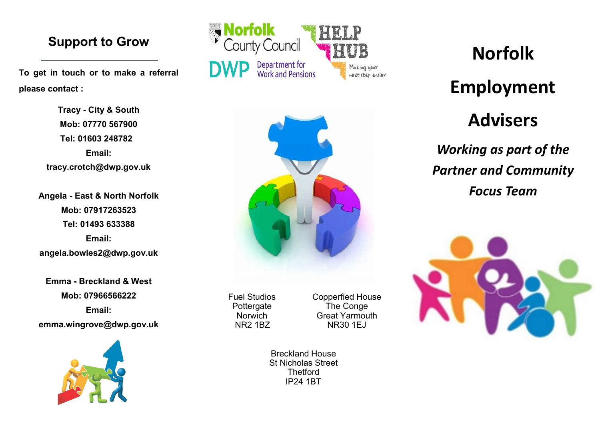#### **Support to Grow**

**To get in touch or to make a referral please contact :**

> **Tracy - City & South Mob: 07770 567900 Tel: 01603 248782 Email: tracy.crotch@dwp.gov.uk**

**Angela - East & North Norfolk Mob: 07917263523 Tel: 01493 633388 Email: angela.bowles2@dwp.gov.uk**

**Emma - Breckland & West Mob: 07966566222 Email: emma.wingrove@dwp.gov.uk**







Fuel Studios Pottergate **Norwich** NR2 1BZ

Copperfied House The Conge Great Yarmouth NR30 1EJ

Breckland House St Nicholas Street **Thetford** IP24 1BT

# **Norfolk**

## **Employment**

## **Advisers**

*Working as part of the Partner and Community Focus Team*